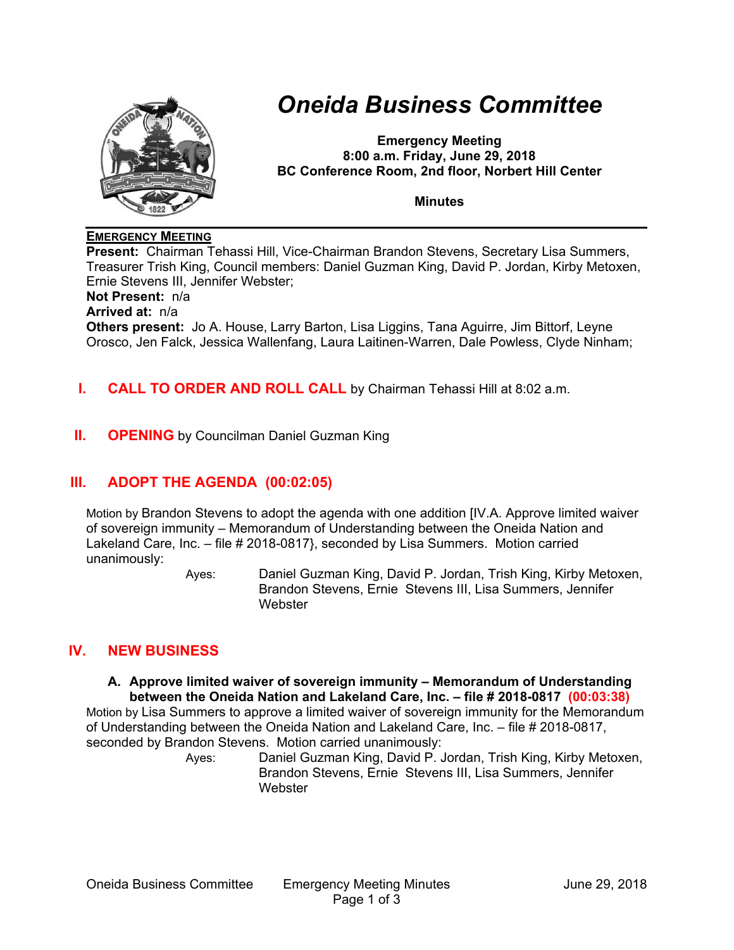

# *Oneida Business Committee*

**Emergency Meeting 8:00 a.m. Friday, June 29, 2018 BC Conference Room, 2nd floor, Norbert Hill Center** 

**Minutes** 

## **EMERGENCY MEETING**

**Present:** Chairman Tehassi Hill, Vice-Chairman Brandon Stevens, Secretary Lisa Summers, Treasurer Trish King, Council members: Daniel Guzman King, David P. Jordan, Kirby Metoxen, Ernie Stevens III, Jennifer Webster;

**Not Present:** n/a

**Arrived at:** n/a

**Others present:** Jo A. House, Larry Barton, Lisa Liggins, Tana Aguirre, Jim Bittorf, Leyne Orosco, Jen Falck, Jessica Wallenfang, Laura Laitinen-Warren, Dale Powless, Clyde Ninham;

# **I. CALL TO ORDER AND ROLL CALL** by Chairman Tehassi Hill at 8:02 a.m.

**II. OPENING** by Councilman Daniel Guzman King

# **III. ADOPT THE AGENDA (00:02:05)**

Motion by Brandon Stevens to adopt the agenda with one addition [IV.A. Approve limited waiver of sovereign immunity – Memorandum of Understanding between the Oneida Nation and Lakeland Care, Inc. – file # 2018-0817}, seconded by Lisa Summers. Motion carried unanimously:

Ayes: Daniel Guzman King, David P. Jordan, Trish King, Kirby Metoxen, Brandon Stevens, Ernie Stevens III, Lisa Summers, Jennifer **Webster** 

# **IV. NEW BUSINESS**

**A. Approve limited waiver of sovereign immunity – Memorandum of Understanding between the Oneida Nation and Lakeland Care, Inc. – file # 2018-0817 (00:03:38)**

Motion by Lisa Summers to approve a limited waiver of sovereign immunity for the Memorandum of Understanding between the Oneida Nation and Lakeland Care, Inc. – file # 2018-0817, seconded by Brandon Stevens. Motion carried unanimously:

Ayes: Daniel Guzman King, David P. Jordan, Trish King, Kirby Metoxen, Brandon Stevens, Ernie Stevens III, Lisa Summers, Jennifer **Webster**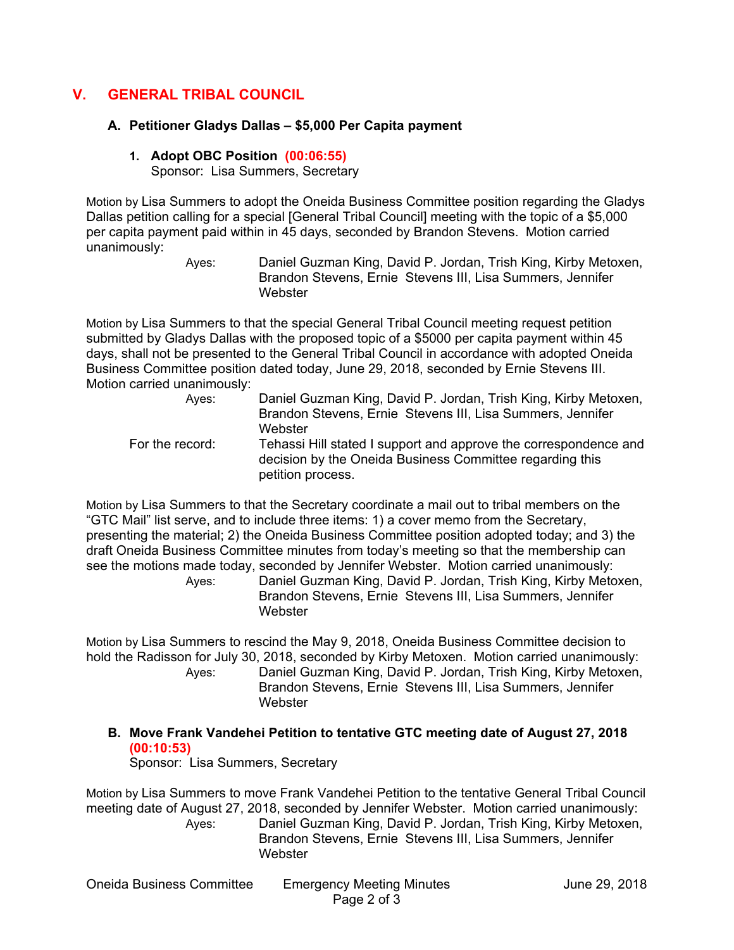# **V. GENERAL TRIBAL COUNCIL**

### **A. Petitioner Gladys Dallas – \$5,000 Per Capita payment**

#### **1. Adopt OBC Position (00:06:55)**

Sponsor: Lisa Summers, Secretary

Motion by Lisa Summers to adopt the Oneida Business Committee position regarding the Gladys Dallas petition calling for a special [General Tribal Council] meeting with the topic of a \$5,000 per capita payment paid within in 45 days, seconded by Brandon Stevens. Motion carried unanimously:

Ayes: Daniel Guzman King, David P. Jordan, Trish King, Kirby Metoxen, Brandon Stevens, Ernie Stevens III, Lisa Summers, Jennifer **Webster** 

Motion by Lisa Summers to that the special General Tribal Council meeting request petition submitted by Gladys Dallas with the proposed topic of a \$5000 per capita payment within 45 days, shall not be presented to the General Tribal Council in accordance with adopted Oneida Business Committee position dated today, June 29, 2018, seconded by Ernie Stevens III. Motion carried unanimously:

| Aves:           | Daniel Guzman King, David P. Jordan, Trish King, Kirby Metoxen,<br>Brandon Stevens, Ernie Stevens III, Lisa Summers, Jennifer |
|-----------------|-------------------------------------------------------------------------------------------------------------------------------|
| For the record: | Webster<br>Tehassi Hill stated I support and approve the correspondence and                                                   |
|                 | decision by the Oneida Business Committee regarding this                                                                      |
|                 | petition process.                                                                                                             |

Motion by Lisa Summers to that the Secretary coordinate a mail out to tribal members on the "GTC Mail" list serve, and to include three items: 1) a cover memo from the Secretary, presenting the material; 2) the Oneida Business Committee position adopted today; and 3) the draft Oneida Business Committee minutes from today's meeting so that the membership can see the motions made today, seconded by Jennifer Webster. Motion carried unanimously:

Ayes: Daniel Guzman King, David P. Jordan, Trish King, Kirby Metoxen, Brandon Stevens, Ernie Stevens III, Lisa Summers, Jennifer Webster

Motion by Lisa Summers to rescind the May 9, 2018, Oneida Business Committee decision to hold the Radisson for July 30, 2018, seconded by Kirby Metoxen. Motion carried unanimously:

Ayes: Daniel Guzman King, David P. Jordan, Trish King, Kirby Metoxen, Brandon Stevens, Ernie Stevens III, Lisa Summers, Jennifer **Webster** 

**B. Move Frank Vandehei Petition to tentative GTC meeting date of August 27, 2018 (00:10:53)**

Sponsor: Lisa Summers, Secretary

Motion by Lisa Summers to move Frank Vandehei Petition to the tentative General Tribal Council meeting date of August 27, 2018, seconded by Jennifer Webster. Motion carried unanimously: Ayes: Daniel Guzman King, David P. Jordan, Trish King, Kirby Metoxen, Brandon Stevens, Ernie Stevens III, Lisa Summers, Jennifer **Webster**